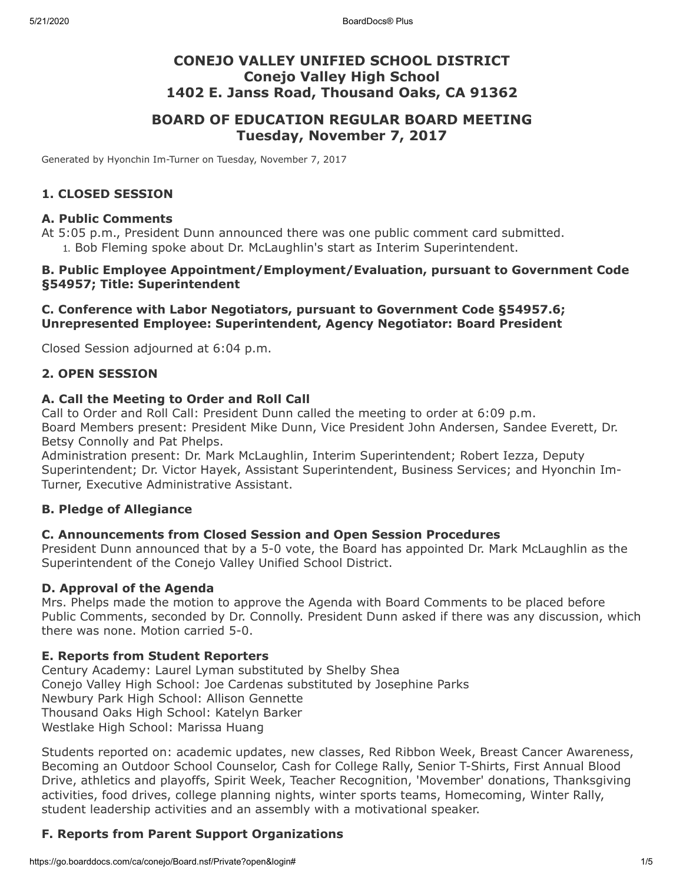# **CONEJO VALLEY UNIFIED SCHOOL DISTRICT Conejo Valley High School 1402 E. Janss Road, Thousand Oaks, CA 91362**

# **BOARD OF EDUCATION REGULAR BOARD MEETING Tuesday, November 7, 2017**

Generated by Hyonchin Im-Turner on Tuesday, November 7, 2017

### **1. CLOSED SESSION**

#### **A. Public Comments**

At 5:05 p.m., President Dunn announced there was one public comment card submitted. 1. Bob Fleming spoke about Dr. McLaughlin's start as Interim Superintendent.

#### **B. Public Employee Appointment/Employment/Evaluation, pursuant to Government Code §54957; Title: Superintendent**

#### **C. Conference with Labor Negotiators, pursuant to Government Code §54957.6; Unrepresented Employee: Superintendent, Agency Negotiator: Board President**

Closed Session adjourned at 6:04 p.m.

### **2. OPEN SESSION**

### **A. Call the Meeting to Order and Roll Call**

Call to Order and Roll Call: President Dunn called the meeting to order at 6:09 p.m. Board Members present: President Mike Dunn, Vice President John Andersen, Sandee Everett, Dr. Betsy Connolly and Pat Phelps.

Administration present: Dr. Mark McLaughlin, Interim Superintendent; Robert Iezza, Deputy Superintendent; Dr. Victor Hayek, Assistant Superintendent, Business Services; and Hyonchin Im-Turner, Executive Administrative Assistant.

### **B. Pledge of Allegiance**

#### **C. Announcements from Closed Session and Open Session Procedures**

President Dunn announced that by a 5-0 vote, the Board has appointed Dr. Mark McLaughlin as the Superintendent of the Conejo Valley Unified School District.

#### **D. Approval of the Agenda**

Mrs. Phelps made the motion to approve the Agenda with Board Comments to be placed before Public Comments, seconded by Dr. Connolly. President Dunn asked if there was any discussion, which there was none. Motion carried 5-0.

#### **E. Reports from Student Reporters**

Century Academy: Laurel Lyman substituted by Shelby Shea Conejo Valley High School: Joe Cardenas substituted by Josephine Parks Newbury Park High School: Allison Gennette Thousand Oaks High School: Katelyn Barker Westlake High School: Marissa Huang

Students reported on: academic updates, new classes, Red Ribbon Week, Breast Cancer Awareness, Becoming an Outdoor School Counselor, Cash for College Rally, Senior T-Shirts, First Annual Blood Drive, athletics and playoffs, Spirit Week, Teacher Recognition, 'Movember' donations, Thanksgiving activities, food drives, college planning nights, winter sports teams, Homecoming, Winter Rally, student leadership activities and an assembly with a motivational speaker.

### **F. Reports from Parent Support Organizations**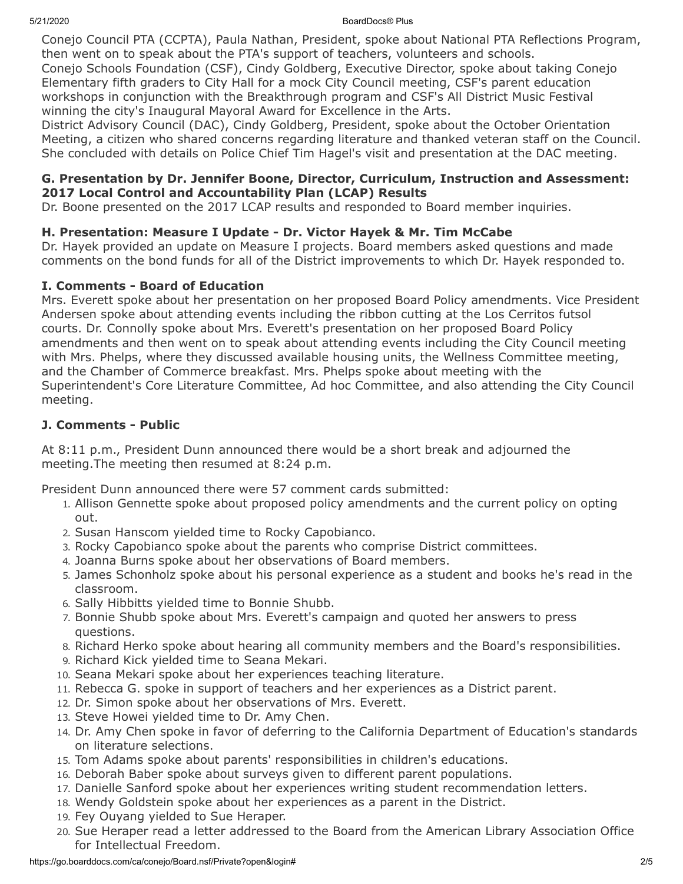5/21/2020 BoardDocs® Plus

Conejo Council PTA (CCPTA), Paula Nathan, President, spoke about National PTA Reflections Program, then went on to speak about the PTA's support of teachers, volunteers and schools.

Conejo Schools Foundation (CSF), Cindy Goldberg, Executive Director, spoke about taking Conejo Elementary fifth graders to City Hall for a mock City Council meeting, CSF's parent education workshops in conjunction with the Breakthrough program and CSF's All District Music Festival winning the city's Inaugural Mayoral Award for Excellence in the Arts.

District Advisory Council (DAC), Cindy Goldberg, President, spoke about the October Orientation Meeting, a citizen who shared concerns regarding literature and thanked veteran staff on the Council. She concluded with details on Police Chief Tim Hagel's visit and presentation at the DAC meeting.

### **G. Presentation by Dr. Jennifer Boone, Director, Curriculum, Instruction and Assessment: 2017 Local Control and Accountability Plan (LCAP) Results**

Dr. Boone presented on the 2017 LCAP results and responded to Board member inquiries.

# **H. Presentation: Measure I Update - Dr. Victor Hayek & Mr. Tim McCabe**

Dr. Hayek provided an update on Measure I projects. Board members asked questions and made comments on the bond funds for all of the District improvements to which Dr. Hayek responded to.

# **I. Comments - Board of Education**

Mrs. Everett spoke about her presentation on her proposed Board Policy amendments. Vice President Andersen spoke about attending events including the ribbon cutting at the Los Cerritos futsol courts. Dr. Connolly spoke about Mrs. Everett's presentation on her proposed Board Policy amendments and then went on to speak about attending events including the City Council meeting with Mrs. Phelps, where they discussed available housing units, the Wellness Committee meeting, and the Chamber of Commerce breakfast. Mrs. Phelps spoke about meeting with the Superintendent's Core Literature Committee, Ad hoc Committee, and also attending the City Council meeting.

# **J. Comments - Public**

At 8:11 p.m., President Dunn announced there would be a short break and adjourned the meeting.The meeting then resumed at 8:24 p.m.

President Dunn announced there were 57 comment cards submitted:

- 1. Allison Gennette spoke about proposed policy amendments and the current policy on opting out.
- 2. Susan Hanscom yielded time to Rocky Capobianco.
- 3. Rocky Capobianco spoke about the parents who comprise District committees.
- 4. Joanna Burns spoke about her observations of Board members.
- 5. James Schonholz spoke about his personal experience as a student and books he's read in the classroom.
- 6. Sally Hibbitts yielded time to Bonnie Shubb.
- 7. Bonnie Shubb spoke about Mrs. Everett's campaign and quoted her answers to press questions.
- 8. Richard Herko spoke about hearing all community members and the Board's responsibilities.
- 9. Richard Kick yielded time to Seana Mekari.
- 10. Seana Mekari spoke about her experiences teaching literature.
- 11. Rebecca G. spoke in support of teachers and her experiences as a District parent.
- 12. Dr. Simon spoke about her observations of Mrs. Everett.
- 13. Steve Howei yielded time to Dr. Amy Chen.
- 14. Dr. Amy Chen spoke in favor of deferring to the California Department of Education's standards on literature selections.
- 15. Tom Adams spoke about parents' responsibilities in children's educations.
- 16. Deborah Baber spoke about surveys given to different parent populations.
- 17. Danielle Sanford spoke about her experiences writing student recommendation letters.
- 18. Wendy Goldstein spoke about her experiences as a parent in the District.
- 19. Fey Ouyang yielded to Sue Heraper.
- 20. Sue Heraper read a letter addressed to the Board from the American Library Association Office for Intellectual Freedom.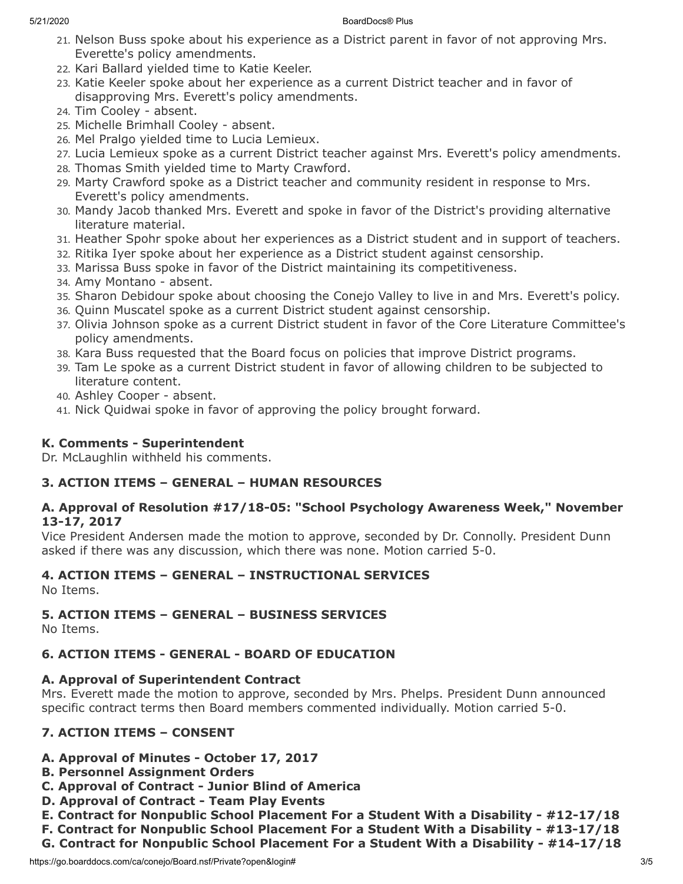#### 5/21/2020 BoardDocs® Plus

- 21. Nelson Buss spoke about his experience as a District parent in favor of not approving Mrs. Everette's policy amendments.
- 22. Kari Ballard yielded time to Katie Keeler.
- 23. Katie Keeler spoke about her experience as a current District teacher and in favor of disapproving Mrs. Everett's policy amendments.
- 24. Tim Cooley absent.
- 25. Michelle Brimhall Cooley absent.
- 26. Mel Pralgo yielded time to Lucia Lemieux.
- 27. Lucia Lemieux spoke as a current District teacher against Mrs. Everett's policy amendments.
- 28. Thomas Smith yielded time to Marty Crawford.
- 29. Marty Crawford spoke as a District teacher and community resident in response to Mrs. Everett's policy amendments.
- 30. Mandy Jacob thanked Mrs. Everett and spoke in favor of the District's providing alternative literature material.
- 31. Heather Spohr spoke about her experiences as a District student and in support of teachers.
- 32. Ritika Iyer spoke about her experience as a District student against censorship.
- 33. Marissa Buss spoke in favor of the District maintaining its competitiveness.
- 34. Amy Montano absent.
- 35. Sharon Debidour spoke about choosing the Conejo Valley to live in and Mrs. Everett's policy.
- 36. Quinn Muscatel spoke as a current District student against censorship.
- 37. Olivia Johnson spoke as a current District student in favor of the Core Literature Committee's policy amendments.
- 38. Kara Buss requested that the Board focus on policies that improve District programs.
- 39. Tam Le spoke as a current District student in favor of allowing children to be subjected to literature content.
- 40. Ashley Cooper absent.
- 41. Nick Quidwai spoke in favor of approving the policy brought forward.

### **K. Comments - Superintendent**

Dr. McLaughlin withheld his comments.

## **3. ACTION ITEMS – GENERAL – HUMAN RESOURCES**

### **A. Approval of Resolution #17/18-05: "School Psychology Awareness Week," November 13-17, 2017**

Vice President Andersen made the motion to approve, seconded by Dr. Connolly. President Dunn asked if there was any discussion, which there was none. Motion carried 5-0.

### **4. ACTION ITEMS – GENERAL – INSTRUCTIONAL SERVICES**

No Items.

## **5. ACTION ITEMS – GENERAL – BUSINESS SERVICES**

No Items.

## **6. ACTION ITEMS - GENERAL - BOARD OF EDUCATION**

## **A. Approval of Superintendent Contract**

Mrs. Everett made the motion to approve, seconded by Mrs. Phelps. President Dunn announced specific contract terms then Board members commented individually. Motion carried 5-0.

## **7. ACTION ITEMS – CONSENT**

- **A. Approval of Minutes October 17, 2017**
- **B. Personnel Assignment Orders**
- **C. Approval of Contract Junior Blind of America**
- **D. Approval of Contract Team Play Events**
- **E. Contract for Nonpublic School Placement For a Student With a Disability #12-17/18**
- **F. Contract for Nonpublic School Placement For a Student With a Disability #13-17/18**
- **G. Contract for Nonpublic School Placement For a Student With a Disability #14-17/18**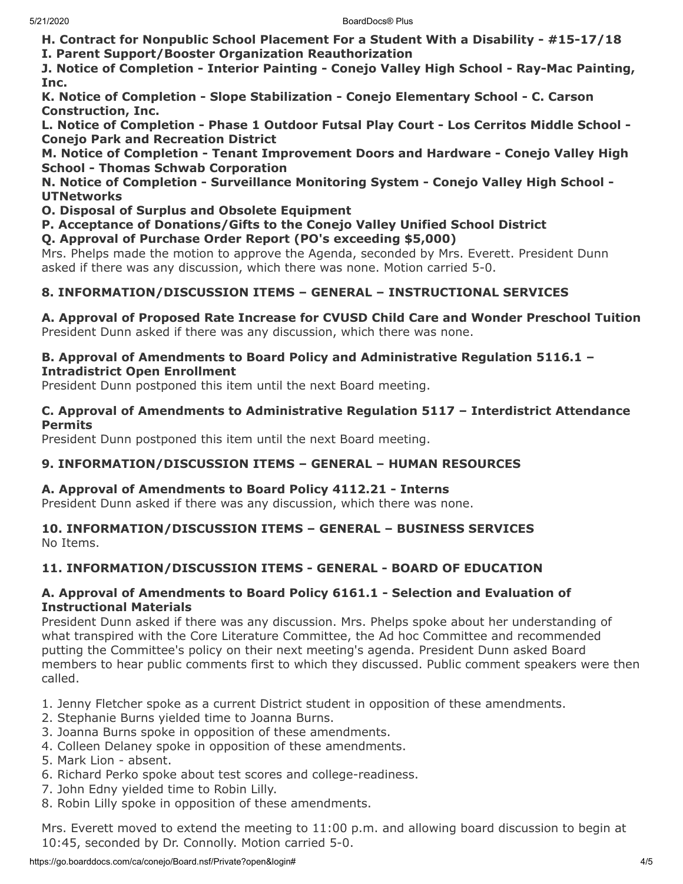**H. Contract for Nonpublic School Placement For a Student With a Disability - #15-17/18 I. Parent Support/Booster Organization Reauthorization**

**J. Notice of Completion - Interior Painting - Conejo Valley High School - Ray-Mac Painting, Inc.**

**K. Notice of Completion - Slope Stabilization - Conejo Elementary School - C. Carson Construction, Inc.**

**L. Notice of Completion - Phase 1 Outdoor Futsal Play Court - Los Cerritos Middle School - Conejo Park and Recreation District**

**M. Notice of Completion - Tenant Improvement Doors and Hardware - Conejo Valley High School - Thomas Schwab Corporation**

**N. Notice of Completion - Surveillance Monitoring System - Conejo Valley High School - UTNetworks**

**O. Disposal of Surplus and Obsolete Equipment**

**P. Acceptance of Donations/Gifts to the Conejo Valley Unified School District**

**Q. Approval of Purchase Order Report (PO's exceeding \$5,000)**

Mrs. Phelps made the motion to approve the Agenda, seconded by Mrs. Everett. President Dunn asked if there was any discussion, which there was none. Motion carried 5-0.

# **8. INFORMATION/DISCUSSION ITEMS – GENERAL – INSTRUCTIONAL SERVICES**

**A. Approval of Proposed Rate Increase for CVUSD Child Care and Wonder Preschool Tuition** President Dunn asked if there was any discussion, which there was none.

### **B. Approval of Amendments to Board Policy and Administrative Regulation 5116.1 – Intradistrict Open Enrollment**

President Dunn postponed this item until the next Board meeting.

### **C. Approval of Amendments to Administrative Regulation 5117 – Interdistrict Attendance Permits**

President Dunn postponed this item until the next Board meeting.

## **9. INFORMATION/DISCUSSION ITEMS – GENERAL – HUMAN RESOURCES**

## **A. Approval of Amendments to Board Policy 4112.21 - Interns**

President Dunn asked if there was any discussion, which there was none.

#### **10. INFORMATION/DISCUSSION ITEMS – GENERAL – BUSINESS SERVICES** No Items.

# **11. INFORMATION/DISCUSSION ITEMS - GENERAL - BOARD OF EDUCATION**

### **A. Approval of Amendments to Board Policy 6161.1 - Selection and Evaluation of Instructional Materials**

President Dunn asked if there was any discussion. Mrs. Phelps spoke about her understanding of what transpired with the Core Literature Committee, the Ad hoc Committee and recommended putting the Committee's policy on their next meeting's agenda. President Dunn asked Board members to hear public comments first to which they discussed. Public comment speakers were then called.

- 1. Jenny Fletcher spoke as a current District student in opposition of these amendments.
- 2. Stephanie Burns yielded time to Joanna Burns.
- 3. Joanna Burns spoke in opposition of these amendments.
- 4. Colleen Delaney spoke in opposition of these amendments.
- 5. Mark Lion absent.
- 6. Richard Perko spoke about test scores and college-readiness.
- 7. John Edny yielded time to Robin Lilly.
- 8. Robin Lilly spoke in opposition of these amendments.

Mrs. Everett moved to extend the meeting to 11:00 p.m. and allowing board discussion to begin at 10:45, seconded by Dr. Connolly. Motion carried 5-0.